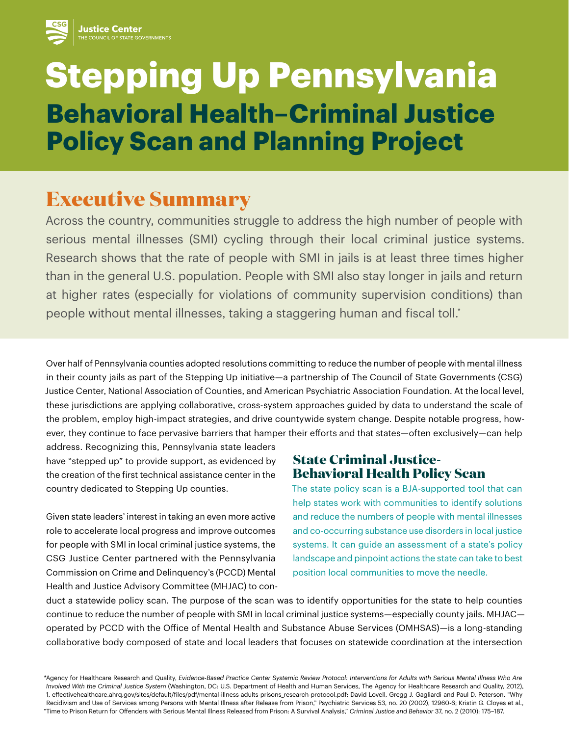# **Stepping Up Pennsylvania Behavioral Health–Criminal Justice Policy Scan and Planning Project**

## **Executive Summary**

Across the country, communities struggle to address the high number of people with serious mental illnesses (SMI) cycling through their local criminal justice systems. Research shows that the rate of people with SMI in jails is at least three times higher than in the general U.S. population. People with SMI also stay longer in jails and return at higher rates (especially for violations of community supervision conditions) than people without mental illnesses, taking a staggering human and fiscal toll.\*

Over half of Pennsylvania counties adopted resolutions committing to reduce the number of people with mental illness in their county jails as part of the Stepping Up initiative—a partnership of The Council of State Governments (CSG) Justice Center, National Association of Counties, and American Psychiatric Association Foundation. At the local level, these jurisdictions are applying collaborative, cross-system approaches guided by data to understand the scale of the problem, employ high-impact strategies, and drive countywide system change. Despite notable progress, however, they continue to face pervasive barriers that hamper their efforts and that states—often exclusively—can help

address. Recognizing this, Pennsylvania state leaders have "stepped up" to provide support, as evidenced by the creation of the first technical assistance center in the country dedicated to Stepping Up counties.

Given state leaders' interest in taking an even more active role to accelerate local progress and improve outcomes for people with SMI in local criminal justice systems, the CSG Justice Center partnered with the Pennsylvania Commission on Crime and Delinquency's (PCCD) Mental Health and Justice Advisory Committee (MHJAC) to con-

#### **State Criminal Justice-Behavioral Health Policy Scan**

The state policy scan is a BJA-supported tool that can help states work with communities to identify solutions and reduce the numbers of people with mental illnesses and co-occurring substance use disorders in local justice systems. It can guide an assessment of a state's policy landscape and pinpoint actions the state can take to best position local communities to move the needle.

duct a statewide policy scan. The purpose of the scan was to identify opportunities for the state to help counties continue to reduce the number of people with SMI in local criminal justice systems—especially county jails. MHJAC operated by PCCD with the Office of Mental Health and Substance Abuse Services (OMHSAS)—is a long-standing collaborative body composed of state and local leaders that focuses on statewide coordination at the intersection

\*Agency for Healthcare Research and Quality, *Evidence-Based Practice Center Systemic Review Protocol: Interventions for Adults with Serious Mental Illness Who Are Involved With the Criminal Justice System* (Washington, DC: U.S. Department of Health and Human Services, The Agency for Healthcare Research and Quality, 2012), 1, effectivehealthcare.ahrq.gov/sites/default/files/pdf/mental-illness-adults-prisons\_research-protocol.pdf; David Lovell, Gregg J. Gagliardi and Paul D. Peterson, "Why Recidivism and Use of Services among Persons with Mental Illness after Release from Prison," Psychiatric Services 53, no. 20 (2002), 12960-6; Kristin G. Cloyes et al., "Time to Prison Return for Offenders with Serious Mental Illness Released from Prison: A Survival Analysis," *Criminal Justice and Behavior* 37, no. 2 (2010): 175–187.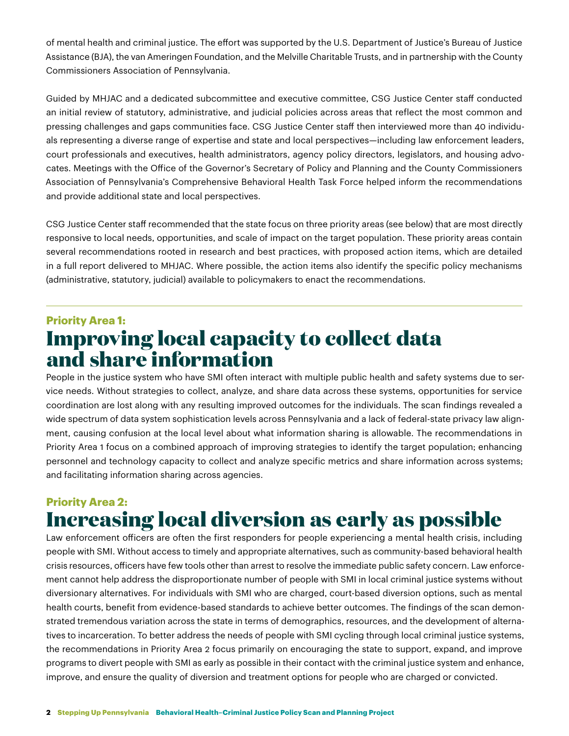of mental health and criminal justice. The effort was supported by the U.S. Department of Justice's Bureau of Justice Assistance (BJA), the van Ameringen Foundation, and the Melville Charitable Trusts, and in partnership with the County Commissioners Association of Pennsylvania.

Guided by MHJAC and a dedicated subcommittee and executive committee, CSG Justice Center staff conducted an initial review of statutory, administrative, and judicial policies across areas that reflect the most common and pressing challenges and gaps communities face. CSG Justice Center staff then interviewed more than 40 individuals representing a diverse range of expertise and state and local perspectives—including law enforcement leaders, court professionals and executives, health administrators, agency policy directors, legislators, and housing advocates. Meetings with the Office of the Governor's Secretary of Policy and Planning and the County Commissioners Association of Pennsylvania's Comprehensive Behavioral Health Task Force helped inform the recommendations and provide additional state and local perspectives.

CSG Justice Center staff recommended that the state focus on three priority areas (see below) that are most directly responsive to local needs, opportunities, and scale of impact on the target population. These priority areas contain several recommendations rooted in research and best practices, with proposed action items, which are detailed in a full report delivered to MHJAC. Where possible, the action items also identify the specific policy mechanisms (administrative, statutory, judicial) available to policymakers to enact the recommendations.

### **Priority Area 1: Improving local capacity to collect data and share information**

People in the justice system who have SMI often interact with multiple public health and safety systems due to service needs. Without strategies to collect, analyze, and share data across these systems, opportunities for service coordination are lost along with any resulting improved outcomes for the individuals. The scan findings revealed a wide spectrum of data system sophistication levels across Pennsylvania and a lack of federal-state privacy law alignment, causing confusion at the local level about what information sharing is allowable. The recommendations in Priority Area 1 focus on a combined approach of improving strategies to identify the target population; enhancing personnel and technology capacity to collect and analyze specific metrics and share information across systems; and facilitating information sharing across agencies.

#### **Priority Area 2: Increasing local diversion as early as possible**

Law enforcement officers are often the first responders for people experiencing a mental health crisis, including people with SMI. Without access to timely and appropriate alternatives, such as community-based behavioral health crisis resources, officers have few tools other than arrest to resolve the immediate public safety concern. Law enforcement cannot help address the disproportionate number of people with SMI in local criminal justice systems without diversionary alternatives. For individuals with SMI who are charged, court-based diversion options, such as mental health courts, benefit from evidence-based standards to achieve better outcomes. The findings of the scan demonstrated tremendous variation across the state in terms of demographics, resources, and the development of alternatives to incarceration. To better address the needs of people with SMI cycling through local criminal justice systems, the recommendations in Priority Area 2 focus primarily on encouraging the state to support, expand, and improve programs to divert people with SMI as early as possible in their contact with the criminal justice system and enhance, improve, and ensure the quality of diversion and treatment options for people who are charged or convicted.